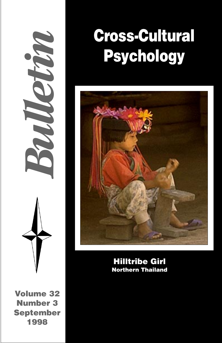*Bulletin*

**Volume 32 Number 3 September 1998**

# **Cross-Cultural Psychology**



**Hilltribe Girl Northern Thailand**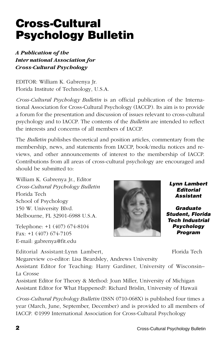# *Cross-Cultural Psychology Bulletin* is an official publication of the International Association for Cross-Cultural Psychology (IACCP). Its aim is to provide

a forum for the presentation and discussion of issues relevant to cross-cultural psychology and to IACCP. The contents of the *Bulletin* are intended to reflect the interests and concerns of all members of IACCP.

The *Bulletin* publishes theoretical and position articles, commentary from the membership, news, and statements from IACCP, book/media notices and reviews, and other announcements of interest to the membership of IACCP. Contributions from all areas of cross-cultural psychology are encouraged and should be submitted to:

William K. Gabrenya Jr., Editor *Cross-Cultural Psychology Bulletin* Florida Tech School of Psychology 150 W. University Blvd. Melbourne, FL 32901-6988 U.S.A.

**Cross-Cultural**

*Inter national Association for Cross-Cultural Psychology*

EDITOR: William K. Gabrenya Jr. Florida Institute of Technology, U.S.A.

*A Publication of the*

**Psychology Bulletin**

Telephone: +1 (407) 674-8104 Fax: +1 (407) 674-7105 E-mail: gabrenya@fit.edu

Editorial Assistant:Lynn Lambert, Florida Tech Megareview co-editor: Lisa Beardsley, Andrews University

**Lynn Lambert Editorial Assistant**

**Graduate Student, Florida Tech Industrial Psychology Program**

Assistant Editor for Teaching: Harry Gardiner, University of Wisconsin– La Crosse

Assistant Editor for Theory & Method: Joan Miller, University of Michigan Assistant Editor for What Happened?: Richard Brislin, University of Hawaii

*Cross-Cultural Psychology Bulletin* (ISSN 0710-068X) is published four times a year (March, June, September, December) and is provided to all members of IACCP. ©1999 International Association for Cross-Cultural Psychology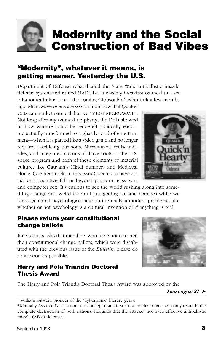<span id="page-2-0"></span>

# **Modernity and the Social Construction of Bad Vibes**

# **"Modernity", whatever it means, is getting meaner. Yesterday the U.S.**

Department of Defense rehabilitated the Stars Wars antiballistic missile defense system and ruined MAD1 , but it was my breakfast oatmeal that set off another intimation of the coming Gibbsonian<sup>2</sup> cyberfunk a few months

ago. Microwave ovens are so common now that Quaker Oats can market oatmeal that we "MUST MICROWAVE". Not long after my oatmeal epiphany, the DoD showed us how warfare could be rendered politically easy no, actually transformed to a ghastly kind of entertainment—when it is played like a video game and no longer requires sacrificing our sons. Microwaves, cruise missiles, and integrated circuits all have roots in the U.S. space program and each of these elements of material culture, like Gauvain's Hindi numbers and Medieval clocks (see her article in this issue), seems to have social and cognitive fallout beyond popcorn, easy war,

and computer sex. It's curious to see the world rushing along into something strange and weird (or am I just getting old and cranky?) while we (cross-)cultural psychologists take on the really important problems, like whether or not psychology is a cultural invention or if anything is real.

#### **Please return your constitutional change ballots**

Jim Georgas asks that members who have not returned their constitutional change ballots, which were distributed with the previous issue of the *Bulletin*, please do so as soon as possible.

### **Harry and Pola Triandis Doctoral Thesis Award**



 $Two Logos: 21$ 





<sup>&</sup>lt;sup>1</sup> William Gibson, pioneer of the "cyberpunk" literary genre

<sup>2</sup> Mutually Assured Destruction: the concept that a first-strike nuclear attack can only result in the complete destruction of both nations. Requires that the attacker not have effective antiballistic missile (ABM) defenses.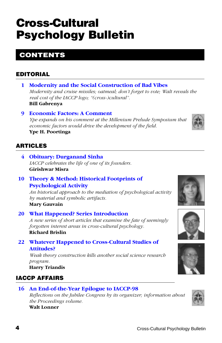# **Cross-Cultural Psychology Bulletin**

# **CONTENTS**

# **EDITORIAL**

- **1 [Modernity and the Social Construction of Bad Vibes](#page-2-0)** *Modernity and cruise missiles; oatmeal; don't forget to vote; Walt reveals the real cost of the IACCP logo; "(cross-)cultural".* **Bill Gabrenya**
- **9 [Economic Factors: A Comment](#page-10-0)**

*Ype expands on his comment at the Millenium Prelude Symposium that economic factors would drive the development of the field.*

**Ype H. Poortinga**

# **ARTICLES**

- **4 [Obituary: Durganand Sinha](#page-5-0)** *IACCP celebrates the life of one of its founders.* **Girishwar Misra**
- **10 [Theory & Method: Historical Footprints of](#page-11-0) Psychological Activity**

*An historical approach to the mediation of psychological activity by material and symbolic artifacts.* **Mary Gauvain**

**20 [What Happened? Series Introduction](#page-19-0)** *A new series of short articles that examine the fate of seemingly forgotten interest areas in cross-cultural psychology.*

#### **Richard Brislin**

**22 [Whatever Happened to Cross-Cultural Studies of](#page-21-0) Attitudes?**

*Weak theory construction kills another social science research program.*

**Harry Triandis**

# **IACCP AFFAIRS**

## **16 [An End-of-the-Year Epilogue to IACCP-98](#page-17-0)**

*Reflections on the Jubilee Congress by its organizer; information about the Proceedings volume.*

### **Walt Lonner**







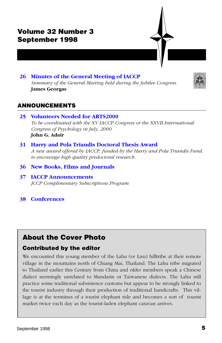

### **26 [Minutes of the General Meeting of IACCP](#page-27-0)**

*Summary of the General Meeting held during the Jubilee Congress.* **James Georgas**



#### **ANNOUNCEMENTS**

- **25 [Volunteers Needed for ARTS2000](#page-26-0)** *To be coordinated with the XV IACCP Congress or the XXVII International Congress of Psychology in July, 2000* **John G. Adair**
- **31 [Harry and Pola Triandis Doctoral Thesis Award](#page-32-0)** *A new award offered by IACCP, funded by the Harry and Pola Triandis Fund, to encourage high quality predoctoral research.*
- **36 [New Books, Films and Journals](#page-37-0)**
- **37 [IACCP Announcements](#page-38-0)** *JCCP Complimentary Subscriptions Program*
- **38 [Conferences](#page-39-0)**

## **About the Cover Photo**

#### **Contributed by the editor**

We encounted this young member of the Lahu (or Lisu) hilltribe at their remote village in the mountains north of Chiang Mai, Thailand. The Lahu tribe migrated to Thailand earlier this Century from China and older members speak a Chinese dialect seemingly unrelated to Mandarin or Taiwanese dialects. The Lahu still practice some traditional subsistence customs but appear to be strongly linked to the tourist industry through their production of traditional handicrafts. This village is at the terminus of a tourist elephant ride and becomes a sort of tourist market twice each day as the tourist-laden elephant caravan arrives.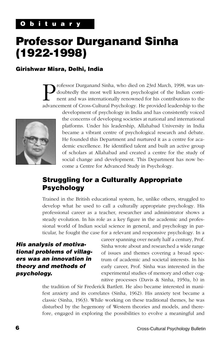# <span id="page-5-0"></span>**Professor Durganand Sinha (1922-1998)**

#### **Girishwar Misra, Delhi, India**

Trofessor Durganand Sinha, who died on 23rd March, 1998, was underductedly the most well known psychologist of the Indian continuous to the advancement of Cross-Cultural Psychology. He provided leadership to the doubtedly the most well known psychologist of the Indian continent and was internationally renowned for his contributions to the advancement of Cross-Cultural Psychology. He provided leadership to the



development of psychology in India and has consistently voiced the concerns of developing societies at national and international platforms. Under his leadership, Allahabad University in India became a vibrant centre of psychological research and debate. He founded this Department and nurtured it as a centre for academic excellence. He identified talent and built an active group of scholars at Allahabad and created a centre for the study of social change and development. This Department has now become a Centre for Advanced Study in Psychology.

# **Struggling for a Culturally Appropriate Psychology**

Trained in the British educational system, he, unlike others, struggled to develop what he used to call a culturally appropriate psychology. His professional career as a teacher, researcher and administrator shows a steady evolution. In his role as a key figure in the academic and professional world of Indian social science in general, and psychology in particular, he fought the case for a relevant and responsive psychology. In a

### **His analysis of motivational problems of villagers was an innovation in theory and methods of psychology.**

career spanning over nearly half a century, Prof. Sinha wrote about and researched a wide range of issues and themes covering a broad spectrum of academic and societal interests. In his early career, Prof. Sinha was interested in the experimental studies of memory and other cognitive processes (Davis & Sinha, 1950a, b) in

the tradition of Sir Frederick Bartlett. He also became interested in manifest anxiety and its correlates (Sinha, 1962). His anxiety test became a classic (Sinha, 1963). While working on these traditional themes, he was disturbed by the hegemony of Western theories and models, and therefore, engaged in exploring the possibilities to evolve a meaningful and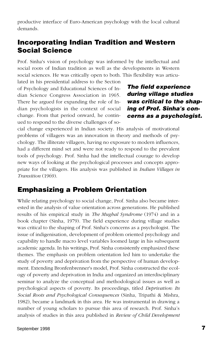productive interface of Euro-American psychology with the local cultural demands.

# **Incorporating Indian Tradition and Western Social Science**

Prof. Sinha's vision of psychology was informed by the intellectual and social roots of Indian tradition as well as the developments in Western social sciences. He was critically open to both. This flexibility was articu-

lated in his presidential address to the Section of Psychology and Educational Sciences of Indian Science Congress Association in 1965. There he argued for expanding the role of Indian psychologists in the context of social change. From that period onward, he continued to respond to the diverse challenges of so-

**The field experience during village studies was critical to the shaping of Prof. Sinha's concerns as a psychologist.**

cial change experienced in Indian society. His analysis of motivational problems of villagers was an innovation in theory and methods of psychology. The illiterate villagers, having no exposure to modern influences, had a different mind set and were not ready to respond to the prevalent tools of psychology. Prof. Sinha had the intellectual courage to develop new ways of looking at the psychological processes and concepts appropriate for the villagers. His analysis was published in *Indian Villages in Transition* (1969).

### **Emphasizing a Problem Orientation**

While relating psychology to social change, Prof. Sinha also became interested in the analysis of value orientation across generations. He published results of his empirical study in *The Mughal Syndrome* (1974) and in a book chapter (Sinha, 1979). The field experience during village studies was critical to the shaping of Prof. Sinha's concerns as a psychologist. The issue of indigenisation, development of problem oriented psychology and capability to handle macro level variables loomed large in his subsequent academic agenda. In his writings, Prof. Sinha consistently emphasized these themes. The emphasis on problem orientation led him to undertake the study of poverty and deprivation from the perspective of human development. Extending Bronfenbrenner's model, Prof. Sinha constructed the ecology of poverty and deprivation in India and organized an interdisciplinary seminar to analyze the conceptual and methodological issues as well as psychological aspects of poverty. Its proceedings, titled *Deprivation: Its Social Roots and Psychological Consequences* (Sinha, Tripathi & Mishra, 1982), became a landmark in this area. He was instrumental in drawing a number of young scholars to pursue this area of research. Prof. Sinha's analysis of studies in this area published in *Review of Child Development*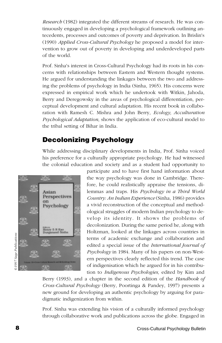*Research* (1982) integrated the different streams of research. He was continuously engaged in developing a psychological framework outlining antecedents, processes and outcomes of poverty and deprivation. In Brislin's (1990) *Applied Cross-Cultural Psychology* he proposed a model for intervention to grow out of poverty in developing and underdeveloped parts of the world.

Prof. Sinha's interest in Cross-Cultural Psychology had its roots in his concerns with relationships between Eastern and Western thought systems. He argued for understanding the linkages between the two and addressing the problems of psychology in India (Sinha, 1965). His concerns were expressed in empirical work which he undertook with Witkin, Jahoda, Berry and Deregowsky in the areas of psychological differentiation, perceptual development and cultural adaptation. His recent book in collaboration with Ramesh C. Mishra and John Berry, *Ecology, Acculturation Psychological Adaptation*, shows the application of eco-cultural model to the tribal setting of Bihar in India.

# **Decolonizing Psychology**

While addressing disciplinary developments in India, Prof. Sinha voiced his preference for a culturally appropriate psychology. He had witnessed the colonial education and society and as a student had opportunity to



participate and to have first hand information about the way psychology was done in Cambridge. Therefore, he could realistically appraise the tensions, dilemmas and traps. His *Psychology in a Third World Country: An Indian Experience* (Sinha, 1986) provides a vivid reconstruction of the conceptual and methodological struggles of modern Indian psychology to develop its identity. It shows the problems of decolonization. During the same period he, along with Holtzman, looked at the linkages across countries in terms of academic exchange and collaboration and edited a special issue of the *International Journal of Psychology* in 1984. Many of his papers on non-Western perspectives clearly reflected this trend. The case of indigenisation which he argued for in his contribution to *Indigenous Psychologies,* edited by Kim and

Berry (1993), and a chapter in the second edition of the *Handbook of Cross-Cultural Psychology* (Berry, Poortinga & Pandey, 1997) presents a new ground for developing an authentic psychology by arguing for paradigmatic indigenization from within.

Prof. Sinha was extending his vision of a culturally informed psychology through collaborative work and publications across the globe. Engaged in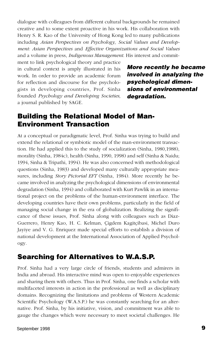dialogue with colleagues from different cultural backgrounds he remained creative and to some extent proactive in his work. His collaboration with Henry S. R. Kao of the University of Hong Kong led to many publications including *Asian Perspectives on Psychology*, *Social Values and Development: Asian Perspectives* and *Effective Organizations and Social Values* and a volume in press, *Indigenous Management*. His interest and commit-

ment to link psychological theory and practice in cultural context is amply illustrated in his work. In order to provide an academic forum for reflection and discourse for the psychologists in developing countries, Prof. Sinha founded *Psychology and Developing Societies*, a journal published by SAGE.

**More recently he became involved in analyzing the psychological dimensions of environmental degradation.**

## **Building the Relational Model of Man-Environment Transaction**

At a conceptual or paradigmatic level, Prof. Sinha was trying to build and extend the relational or symbiotic model of the man-environment transaction. He had applied this to the study of socialization (Sinha, 1980,1988), morality (Sinha, 1984c), health (Sinha, 1990, 1998) and self (Sinha & Naidu; 1994, Sinha & Tripathi, 1994). He was also concerned with methodological questions (Sinha, 1983) and developed many culturally appropriate measures, including *Story Pictorial EFT* (Sinha, 1984). More recently he became involved in analyzing the psychological dimensions of environmental degradation (Sinha, 1994) and collaborated with Kurt Pawlik in an international project on the problems of the human-environment interface. The developing countries have their own problems, particularly in the field of managing social change in the era of globalization. Realizing the significance of these issues, Prof. Sinha along with colleagues such as Diaz-Guerrero, Henry Kao, H. C. Kelman, Çigdem Kagitçibasi, Michel Duro Jayiye and V. G. Enriquez made special efforts to establish a division of national development at the International Association of Applied Psychology.

## **Searching for Alternatives to W.A.S.P.**

Prof. Sinha had a very large circle of friends, students and admirers in India and abroad. His interactive mind was open to enjoyable experiences and sharing them with others. Thus in Prof. Sinha, one finds a scholar with multifaceted interests in action in the professional as well as disciplinary domains. Recognizing the limitations and problems of Western Academic Scientific Psychology (W.A.S.P.) he was constantly searching for an alternative. Prof. Sinha, by his initiative, vision, and commitment was able to gauge the changes which were necessary to meet societal challenges. He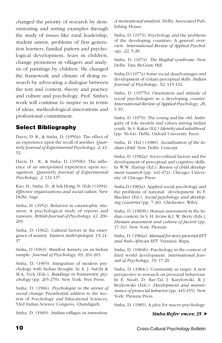changed the priority of research by demonstrating and setting examples through the study of issues like rural leadership, student unrest, problems of first generation learners, familial pattern and psychological development, fears in children, change proneness in villagers and analysis of paintings by children. He changed the framework and climate of doing research by advocating a dialogue between the text and context, theory and practice and culture and psychology. Prof. Sinha's work will continue to inspire us in terms of ideas, methodological innovations and professional commitment.

### **Select Bibliography**

Davis, D. R., & Sinha, D. (1950a). The effect of an experience upon the recall of another. *Quarterly Journal of Experimental Psychology, 2*, 43- 52.

Davis, D. R., & Sinha, D. (1950b). The influence of an interpolated experience upon recognition. *Quarterly Journal of Experimental Psychology, 2*, 132-137.

Kao, H., Sinha, D., & Sek Hong, N. (Eds.) (1994). *Effective organizations and social values*. New Delhi: Sage.

Sinha, D. (1952). Behavior in catastrophic situation: A psychological study of reports and rumours. *British Journal of Psychology, 43*, 200- 209.

Sinha, D. (1962). Cultural factors in the emergence of anxiety. *Eastern Anthropologist, 15*, 21- 37.

Sinha, D (1963). Manifest Anxiety on an Indian sample. *Journal of Psychology, 69*, 261-265.

Sinha, D. (1965). Integration of modern psychology with Indian thought. In A. J. Sutchi & M.A. Vick (Eds.), *Readings in humanistic psychology* (pp. 265-279). New York: Free Press.

Sinha, D. (1966). *Psychologist in the arena of social change.* Presidential address to the Section of Psychology and Educational Sciences, 53rd Indian Science Congress, Chandigarh.

Sinha, D. (1969). *Indian villages in transition:*

*A motivational analysis.* Delhi: Associated Publishing House.

Sinha, D. (1973). Psychology and the problems of the developing countries: A general overview. *International Review of Applied Psychology, 22*, 5-28.

Sinha, D. (1974). *The Mughal syndrome.* New Delhi: Tata McGraw Hill.

Sinha,D.(1977a).Some social disadvantages and development of certain perceptual skills. *Indian Journal of Psychology, 52*, 115-132.

Sinha, D. (1977b). Orientation and attitude of social psychologists in a developing country. *International Review of Applied Psychology, 26*, 1-10.

Sinha, D. (1979). The young and the old: Ambiguity of role models and values among Indian youth. In S. Kakar (Ed.) *Identity and adulthood*. (pp. 56-64). Delhi: Oxford University Press.

Sinha, D. (Ed.) (1980). *Socialization of the Indian child*. New Delhi: Concept.

Sinha, D. (1982a). Socio-cultural factors and the development of perceptual and cognitive skills. In W.W. Hartup (Ed.), *Review of child development research* (pp. 441-472). Chicago: University of Chicago Press.

Sinha,D.(1983a). Applied social psychology and the problems of national development. In F. Blackler (Ed.), *Social psychology and developing countries* (pp. 7-20). Chickester: Wiley.

Sinha, D. (1983b). Human assessment in the Indian context. In S. H. Irvine & J. W. Berry (Eds.), *Human assessment and culture of factors* (pp. 17-34). New York: Plenum.

Sinha, D. (1984a). *Manual for story-pictorial EFT and Indo-African EFT*. Varanasi: Rupa.

Sinha, D. (1984b). Psychology in the context of third world development. *International Journal of Psychology, 19*, 17-29.

Sinha, D. (1984c). Community as target: A new perspective to research on prosocial behaviour. In E. Staub, D. Bar-Tal, J. Karylowski, & J. Reykowski (Eds.). *Development and maintenance of prosocial behavior* (pp. 445-455). New York: Plenum Press.

Sinha, D. (1985). A plea for macro-psychology.

#### *Sinha Refer ences: 35* ➤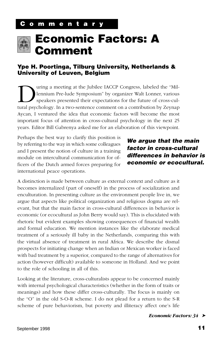<span id="page-10-0"></span>

# **Economic Factors: A Comment**

#### **Ype H. Poortinga, Tilburg University, Netherlands & University of Leuven, Belgium**

Unity a meeting at the Jubilee IACCP Congress, labeled the "Mill-<br>lennium Pre-lude Symposium" by organizer Walt Lonner, various<br>speakers presented their expectations for the future of cross-cul-<br>tural psychology. In a twolennium Pre-lude Symposium" by organizer Walt Lonner, various speakers presented their expectations for the future of cross-cultural psychology. In a two-sentence comment on a contribution by Zeynap Aycan, I ventured the idea that economic factors will become the most important focus of attention in cross-cultural psychology in the next 25 years. Editor Bill Gabrenya asked me for an elaboration of this viewpoint.

Perhaps the best way to clarify this position is by referring to the way in which some colleagues and I present the notion of culture in a training module on intercultural communication for officers of the Dutch armed forces preparing for international peace operations.

### **We argue that the main factor in cross-cultural differences in behavior is economic or ecocultural.**

A distinction is made between culture as external context and culture as it becomes internalized (part of oneself) in the process of socialization and enculturation. In presenting culture as the environment people live in, we argue that aspects like political organization and religious dogma are relevant, but that the main factor in cross-cultural differences in behavior is economic (or ecocultural as John Berry would say). This is elucidated with rhetoric but evident examples showing consequences of financial wealth and formal education. We mention instances like the elaborate medical treatment of a seriously ill baby in the Netherlands, comparing this with the virtual absence of treatment in rural Africa. We describe the dismal prospects for initiating change when an Indian or Mexican worker is faced with bad treatment by a superior, compared to the range of alternatives for action (however difficult) available to someone in Holland. And we point to the role of schooling in all of this.

Looking at the literature, cross-culturalists appear to be concerned mainly with internal psychological characteristics (whether in the form of traits or meanings) and how these differ cross-culturally. The focus is mainly on the "O" in the old S-O-R scheme. I do not plead for a return to the S-R scheme of pure behaviorism, but poverty and illiteracy affect one's life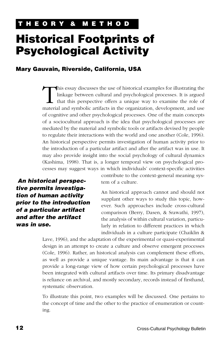# <span id="page-11-0"></span>**Historical Footprints of Psychological Activity**

#### **Mary Gauvain, Riverside, California, USA**

This essay discusses the use of historical examples for illustrating the linkage between cultural and psychological processes. It is argued that this perspective offers a unique way to examine the role of material and symb linkage between cultural and psychological processes. It is argued that this perspective offers a unique way to examine the role of material and symbolic artifacts in the organization, development, and use of cognitive and other psychological processes. One of the main concepts of a sociocultural approach is the idea that psychological processes are mediated by the material and symbolic tools or artifacts devised by people to regulate their interactions with the world and one another (Cole, 1996). An historical perspective permits investigation of human activity prior to the introduction of a particular artifact and after the artifact was in use. It may also provide insight into the social psychology of cultural dynamics (Kashima, 1998). That is, a longer temporal view on psychological processes may suggest ways in which individuals' context-specific activities

 **An historical perspective permits investigation of human activity prior to the introduction of a particular artifact and after the artifact was in use.**

contribute to the context-general meaning system of a culture.

An historical approach cannot and should not supplant other ways to study this topic, however. Such approaches include cross-cultural comparison (Berry, Dasen, & Srawathi, 1997), the analysis of within cultural variation, particularly in relation to different practices in which individuals in a culture participate (Chaiklin &

Lave, 1996), and the adaptation of the experimental or quasi-experimental design in an attempt to create a culture and observe emergent processes (Cole, 1996). Rather, an historical analysis can complement these efforts, as well as provide a unique vantage. Its main advantage is that it can provide a long-range view of how certain psychological processes have been integrated with cultural artifacts over time. Its primary disadvantage is reliance on archival, and mostly secondary, records instead of firsthand, systematic observation.

To illustrate this point, two examples will be discussed. One pertains to the concept of time and the other to the practice of enumeration or counting.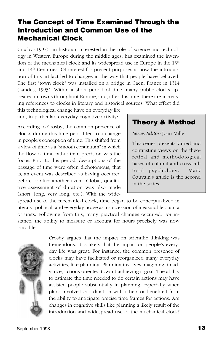# **The Concept of Time Examined Through the Introduction and Common Use of the Mechanical Clock**

Crosby (1997), an historian interested in the role of science and technology in Western Europe during the middle ages, has examined the invention of the mechanical clock and its widespread use in Europe in the  $13<sup>th</sup>$ and  $14<sup>th</sup>$  Centuries. Of interest for present purposes is how the introduction of this artifact led to changes in the way that people have behaved. The first "town clock" was installed on a bridge in Caen, France in 1314 (Landes, 1993). Within a short period of time, many public clocks appeared in towns throughout Europe, and, after this time, there are increasing references to clocks in literary and historical sources. What effect did

this technological change have on everyday life and, in particular, everyday cognitive activity?

According to Crosby, the common presence of clocks during this time period led to a change in people's conception of time. This shifted from a view of time as a "smooth continuum" in which the flow of time rather than precision was the focus. Prior to this period, descriptions of the passage of time were often dichotomous, that is, an event was described as having occurred before or after another event. Global, qualitative assessment of duration was also made (short, long, very long, etc.). With the wide-

### **Theory & Method**

*Series Editor:* Joan Miller

This series presents varied and contrasting views on the theoretical and methodological bases of cultural and cross-cultural psychology. Mary Gauvain's article is the second in the series.

spread use of the mechanical clock, time began to be conceptualized in literary, political, and everyday usage as a succession of measurable quanta or units. Following from this, many practical changes occurred. For instance, the ability to measure or account for hours precisely was now possible.



Crosby argues that the impact on scientific thinking was tremendous. It is likely that the impact on people's everyday life was great. For instance, the common presence of clocks may have facilitated or reorganized many everyday activities, like planning. Planning involves imagining, in advance, actions oriented toward achieving a goal. The ability to estimate the time needed to do certain actions may have assisted people substantially in planning, especially when plans involved coordination with others or benefited from the ability to anticipate precise time frames for actions. Are changes in cognitive skills like planning a likely result of the introduction and widespread use of the mechanical clock?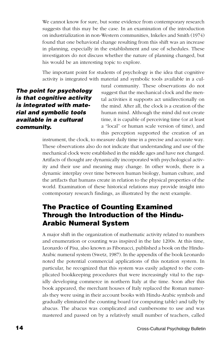We cannot know for sure, but some evidence from contemporary research suggests that this may be the case. In an examination of the introduction on industrialization in non-Western communities, Inkeles and Smith (1974) found that one behavioral change resulting from this shift was an increase in planning, especially in the establishment and use of schedules. These investigators do not discuss whether the nature of planning changed, but his would be an interesting topic to explore.

The important point for students of psychology is the idea that cognitive activity is integrated with material and symbolic tools available in a cul-

**The point for psychology is that cognitive activity is integrated with material and symbolic tools available in a cultural community.**

tural community. These observations do not suggest that the mechanical clock and the mental activities it supports act unidirectionally on the mind. After all, the clock is a creation of the human mind. Although the mind did not create time, it is capable of perceiving time (or at least a "local" or human scale version of time), and this perception supported the creation of an

instrument, the clock, to measure daily time in a precise and accurate way. These observations also do not indicate that understanding and use of the mechanical clock were established in the middle ages and have not changed. Artifacts of thought are dynamically incorporated with psychological activity and their use and meaning may change. In other words, there is a dynamic interplay over time between human biology, human culture, and the artifacts that humans create in relation to the physical properties of the world. Examination of these historical relations may provide insight into contemporary research findings, as illustrated by the next example.

# **The Practice of Counting Examined Through the Introduction of the Hindu-Arabic Numeral System**

A major shift in the organization of mathematic activity related to numbers and enumeration or counting was inspired in the late 1200s. At this time, Leonardo of Pisa, also known as Fibonacci, published a book on the Hindu-Arabic numeral system (Swetz, 1987). In the appendix of the book Leonardo noted the potential commercial applications of this notation system. In particular, he recognized that this system was easily adapted to the complicated bookkeeping procedures that were increasingly vital to the rapidly developing commerce in northern Italy at the time. Soon after this book appeared, the merchant houses of Italy replaced the Roman numerals they were using in their account books with Hindu-Arabic symbols and gradually eliminated the counting board (or computing table) and tally by abacus. The abacus was complicated and cumbersome to use and was mastered and passed on by a relatively small number of teachers, called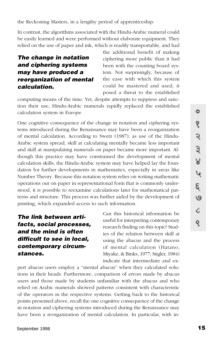the Reckoning Masters, in a lengthy period of apprenticeship.

In contrast, the algorithms associated with the Hindu-Arabic numeral could be easily learned and were performed without elaborate equipment. They relied on the use of paper and ink, which is readily transportable, and had

### **The change in notation and ciphering systems may have produced a reorganization of mental calculation.**

the additional benefit of making ciphering more public than it had been with the counting board system. Not surprisingly, because of the ease with which this system could be mastered and used, it posed a threat to the established

computing means of the time. Yet, despite attempts to suppress and sanction their use, Hindu-Arabic numerals rapidly replaced the established calculation system in Europe.

One cognitive consequence of the change in notation and ciphering systems introduced during the Renaissance may have been a reorganization of mental calculation. According to Swetz (1987), as use of the Hindu-Arabic system spread, skill at calculating mentally became less important and skill at manipulating numerals on paper became more important. Although this practice may have constrained the development of mental calculation skills, the Hindu-Arabic system may have helped lay the foundation for further developments in mathematics, especially in areas like Number Theory. Because this notation system relies on writing mathematic operations out on paper in representational form that is commonly understood, it is possible to reexamine calculations later for mathematical patterns and structure. This process was further aided by the development of printing, which expanded access to such information.

**The link between artifacts, social processes, and the mind is often difficult to see in local, contemporary circumstances.**

Can this historical information be useful for interpreting contemporary research finding on this topic? Studies of the relation between skill at using the abacus and the process of mental calculation (Hatano, Miyake, & Binks, 1977; Stigler, 1984) indicate that intermediate and ex-

pert abacus users employ a "mental abacus" when they calculated solutions in their heads. Furthermore, comparison of errors made by abacus users and those made by students unfamiliar with the abacus and who relied on Arabic numerals showed patterns consistent with characteristic of the operators in the respective systems. Getting back to the historical points presented above, recall the one cognitive consequence of the change in notation and ciphering systems introduced during the Renaissance may have been a reorganization of mental calculation. In particular, with in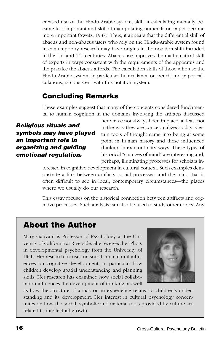creased use of the Hindu-Arabic system, skill at calculating mentally became less important and skill at manipulating numerals on paper became more important (Swetz, 1987). Thus, it appears that the differential skill of abacus and non-abacus users who rely on the Hindu-Arabic system found in contemporary research may have origins in the notation shift intruded in the  $13<sup>th</sup>$  and  $14<sup>th</sup>$  centuries. Abacus use improves the mathematical skill of experts in ways consistent with the requirements of the apparatus and the practice the abacus affords. The calculation skills of those who use the Hindu-Arabic system, in particular their reliance on pencil-and-paper calculations, is consistent with this notation system.

## **Concluding Remarks**

These examples suggest that many of the concepts considered fundamental to human cognition in the domains involving the artifacts discussed

### **Religious rituals and symbols may have played an important role in organizing and guiding emotional regulation.**

here have not always been in place, at least not in the way they are conceptualized today. Certain tools of thought came into being at some point in human history and these influenced thinking in extraordinary ways. These types of historical "changes of mind" are interesting and, perhaps, illuminating processes for scholars in-

terested in cognitive development in cultural context. Such examples demonstrate a link between artifacts, social processes, and the mind that is often difficult to see in local, contemporary circumstances—the places where we usually do our research.

This essay focuses on the historical connection between artifacts and cognitive processes. Such analysis can also be used to study other topics. Any

# **About the Author**

Mary Gauvain is Professor of Psychology at the University of California at Riverside. She received her Ph.D. in developmental psychology from the University of Utah. Her research focuses on social and cultural influences on cognitive development, in particular how children develop spatial understanding and planning skills. Her research has examined how social collaboration influences the development of thinking, as well



as how the structure of a task or an experience relates to children's understanding and its development. Her interest in cultural psychology concentrates on how the social, symbolic and material tools provided by culture are related to intellectual growth.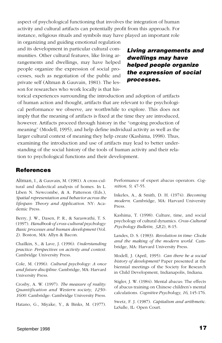aspect of psychological functioning that involves the integration of human activity and cultural artifacts can potentially profit from this approach. For instance, religious rituals and symbols may have played an important role

in organizing and guiding emotional regulation and its development in particular cultural communities. Other cultural features, like living arrangements and dwellings, may have helped people organize the expression of social processes, such as negotiation of the public and private self (Altman & Gauvain, 1981). The lesson for researches who work locally is that his-

### **Living arrangements and dwellings may have helped people organize the expression of social processes.**

torical experiences surrounding the introduction and adoption of artifacts of human action and thought, artifacts that are relevant to the psychological performance we observe, are worthwhile to explore. This does not imply that the meaning of artifacts is fixed at the time they are introduced, however. Artifacts proceed through history in the "ongoing production of meaning" (Modell, 1995), and help define individual activity as well as the larger cultural context of meaning they help create (Kashima, 1998). Thus, examining the introduction and use of artifacts may lead to better understanding of the social history of the tools of human activity and their relation to psychological functions and their development.

#### **References**

Altman, I., & Gauvain, M. (1981). A cross-cultural and dialectical analysis of homes. In L. Liben N. Newcombe, & A. Patterson (Eds.), *Spatial representation and behavior across the lifespan: Theory and Application.* NY: Academic Press.

Berry, J. W., Dasen, P. R., & Saraswathi, T. S. (1997). *Handbook of cross-cultural psychology: Basic processes and human development* (Vol. 2). Boston, MA: Allyn & Bacon.

Chailkin, S., & Lave, J. (1996). *Understanding practice: Perspectives on activity and context.* Cambridge University Press.

Cole, M. (1996). *Cultural psychology: A once and future discipline.* Cambridge, MA: Harvard University Press.

Crosby, A. W. (1997). *The measure of reality: Quantification and Western society, 1250- 1600.* Cambridge: Cambridge University Press.

Hatano, G., Miyake, Y., & Binks, M. (1977).

Performance of expert abacus operators. *Cognition, 9*, 47-55.

Inkeles, A., & Smith, D. H. (1974). *Becoming modern*. Cambridge, MA: Harvard University Press.

Kashima, T. (1998). Culture, time, and social psychology of cultural dynamics. *Cross-Cultural Psychology Bulletin, 32*(2), 8-15.

Landes, D. S. (1983). *Revolution in time: Clocks and the making of the modern world.* Cambridge, MA: Harvard University Press.

Modell, J. (April, 1995). *Can there be a social history of development?* Paper presented at the biennial meetings of the Society for Research in Child Development, Indianapolis, Indiana.

Stigler, J. W. (1984). Mental abacus: The effects of abacus training on Chinese children's mental calculations. *Cognitive Psychology, 16*, 145-176.

Swetz, F. J. (1987). *Capitalism and arithmetic.* LaSalle, IL: Open Court.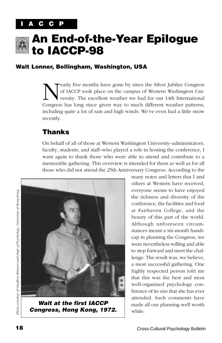# **C C P**

<span id="page-17-0"></span>

# **An End-of-the-Year Epilogue to IACCP-98**

### **Walt Lonner, Bellingham, Washington, USA**

EV Tearly five months have gone by since the Silver Jubilee Congress<br>of IACCP took place on the campus of Western Washington University. The excellent weather we had for our 14th International<br>Congress has long since given of IACCP took place on the campus of Western Washington University. The excellent weather we had for our 14th International Congress has long since given way to much different weather patterns, including quite a lot of rain and high winds. We've even had a little snow recently.

## **Thanks**

On behalf of all of those at Western Washington University–administrators, faculty, students, and staff–who played a role in hosting the conference, I want again to thank those who were able to attend and contribute to a memorable gathering. This overview is intended for them as well as for all those who did not attend the 25th Anniversary Congress. According to the



**Walt at the first IACCP Congress, Hong Kong, 1972.**

many notes and letters that I and others at Western have received, everyone seems to have enjoyed the richness and diversity of the conference, the facilities and food at Fairhaven College, and the beauty of this part of the world. Although unforeseen circumstances meant a six-month handicap in planning the Congress, we were nevertheless willing and able to step forward and meet the challenge. The result was, we believe, a most successful gathering. One highly respected person told me that this was the best and most well-organized psychology conference of its size that she has ever attended. Such comments have made all our planning well worth while.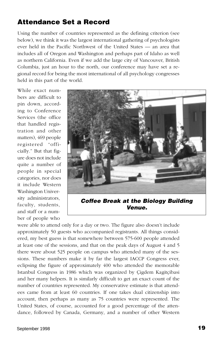# **Attendance Set a Record**

Using the number of countries represented as the defining criterion (see below), we think it was the largest international gathering of psychologists ever held in the Pacific Northwest of the United States — an area that includes all of Oregon and Washington and perhaps part of Idaho as well as northern California. Even if we add the large city of Vancouver, British Columbia, just an hour to the north, our conference may have set a regional record for being the most international of all psychology congresses held in this part of the world.

While exact numbers are difficult to pin down, according to Conference Services (the office that handled registration and other matters), 469 people registered "officially." But that figure does not include quite a number of people in special categories, nor does it include Western Washington University administrators, faculty, students, and staff or a number of people who



**Venue.**

were able to attend only for a day or two. The figure also doesn't include approximately 50 guests who accompanied registrants. All things considered, my best guess is that somewhere between 575-600 people attended at least one of the sessions, and that on the peak days of August 4 and 5 there were about 525 people on campus who attended many of the sessions. These numbers make it by far the largest IACCP Congress ever, eclipsing the figure of approximately 400 who attended the memorable Istanbul Congress in 1986 which was organized by Çigdem Kagitçibasi and her many helpers. It is similarly difficult to get an exact count of the number of countries represented. My conservative estimate is that attendees came from at least 60 countries. If one takes dual citizenship into account, then perhaps as many as 75 countries were represented. The United States, of course, accounted for a good percentage of the attendance, followed by Canada, Germany, and a number of other Western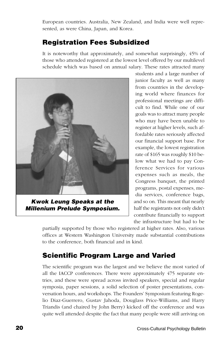European countries. Australia, New Zealand, and India were well represented, as were China, Japan, and Korea.

# **Registration Fees Subsidized**

It is noteworthy that approximately, and somewhat surprisingly, 45% of those who attended registered at the lowest level offered by our multilevel schedule which was based on annual salary. These rates attracted many

<span id="page-19-0"></span>

**Kwok Leung Speaks at the Millenium Prelude Symposium.**

students and a large number of junior faculty as well as many from countries in the developing world where finances for professional meetings are difficult to find. While one of our goals was to attract many people who may have been unable to register at higher levels, such affordable rates seriously affected our financial support base. For example, the lowest registration rate of \$165 was roughly \$10 below what we had to pay Conference Services for various expenses such as meals, the Congress banquet, the printed programs, postal expenses, media services, conference bags, and so on. This meant that nearly half the registrants not only didn't contribute financially to support the infrastructure but had to be

partially supported by those who registered at higher rates. Also, various offices at Western Washington University made substantial contributions to the conference, both financial and in kind.

# **Scientific Program Large and Varied**

The scientific program was the largest and we believe the most varied of all the IACCP conferences. There were approximately 475 separate entries, and these were spread across invited speakers, special and regular symposia, paper sessions, a solid selection of poster presentations, conversation hours, and workshops. The Founders' Symposium featuring Rogelio Diaz-Guerrero, Gustav Jahoda, Douglass Price-Williams, and Harry Triandis (and chaired by John Berry) kicked off the conference and was quite well attended despite the fact that many people were still arriving on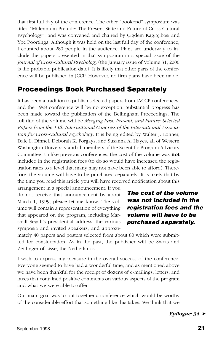that first full day of the conference. The other "bookend" symposium was titled "Millennium Prelude: The Present State and Future of Cross-Cultural Psychology", and was convened and chaired by Çigdem Kagitçibasi and Ype Poortinga. Although it was held on the last full day of the conference, I counted about 280 people in the audience. Plans are underway to include the papers presented in that symposium in a special issue of the *Journal of Cross-Cultural Psychology* (the January issue of Volume 31, 2000 is the probable publication date). It is likely that other parts of the conference will be published in JCCP. However, no firm plans have been made.

## **Proceedings Book Purchased Separately**

It has been a tradition to publish selected papers from IACCP conferences, and the 1998 conference will be no exception. Substantial progress has been made toward the publication of the Bellingham Proceedings. The full title of the volume will be *Merging Past, Present, and Future: Selected Papers from the 14th International Congress of the International Association for Cross-Cultural Psychology*. It is being edited by Walter J. Lonner, Dale L. Dinnel, Deborah K. Forgays, and Susanna A. Hayes, all of Western Washington University and all members of the Scientific Program Advisory Committee. Unlike previous conferences, the cost of the volume was **not** included in the registration fees (to do so would have increased the registration rates to a level that many may not have been able to afford). Therefore, the volume will have to be purchased separately. It is likely that by the time you read this article you will have received notification about this

arrangement in a special announcement. If you do not receive that announcement by about March 1, 1999, please let me know. The volume will contain a representation of everything that appeared on the program, including Marshall Segall's presidential address, the various symposia and invited speakers, and approxi-

**The cost of the volume was not included in the registration fees and the volume will have to be purchased separately.**

mately 40 papers and posters selected from about 80 which were submitted for consideration. As in the past, the publisher will be Swets and Zeitlinger of Lisse, the Netherlands.

I wish to express my pleasure in the overall success of the conference. Everyone seemed to have had a wonderful time, and as mentioned above we have been thankful for the receipt of dozens of e-mailings, letters, and faxes that contained positive comments on various aspects of the program and what we were able to offer.

Our main goal was to put together a conference which would be worthy of the considerable effort that something like this takes. We think that we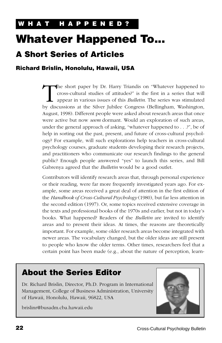# <span id="page-21-0"></span>**Whatever Happened To...**

# **A Short Series of Articles**

### **Richard Brislin, Honolulu, Hawaii, USA**

The short paper by Dr. Harry Triandis on "Whatever happened to cross-cultural studies of attitudes?" is the first in a series that will appear in various issues of this *Bulletin*. The series was stimulated by discussions cross-cultural studies of attitudes?" is the first in a series that will appear in various issues of this *Bulletin*. The series was stimulated by discussions at the Silver Jubilee Congress (Bellingham, Washington, August, 1998). Different people were asked about research areas that once were active but now *seem* dormant. Would an exploration of such areas, under the general approach of asking, "whatever happened to . . .?", be of help in sorting out the past, present, and future of cross-cultural psychology? For example, will such explorations help teachers in cross-cultural psychology courses, graduate students developing their research projects, and practitioners who communicate our research findings to the general public? Enough people answered "yes" to launch this series, and Bill Gabrenya agreed that the *Bulletin* would be a good outlet.

Contributors will identify research areas that, through personal experience or their reading, were far more frequently investigated years ago. For example, some areas received a great deal of attention in the first edition of the *Handbook of Cross-Cultural Psychology* (1980), but far less attention in the second edition (1997). Or, some topics received extensive coverage in the texts and professional books of the 1970s and earlier, but not in today's books. What happened? Readers of the *Bulletin* are invited to identify areas and to present their ideas. At times, the reasons are theoretically important. For example, some older research areas become integrated with newer areas. The vocabulary changed, but the older ideas are still present to people who know the older terms. Other times, researchers feel that a certain point has been made (e.g., about the nature of perception, learn-

# **About the Series Editor**

Dr. Richard Brislin, Director, Ph.D. Program in International Management, College of Business Administration, University of Hawaii, Honolulu, Hawaii, 96822, USA

brislinr@busadm.cba.hawaii.edu

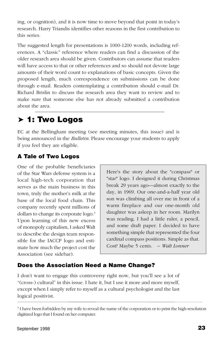ing, or cognition), and it is now time to move beyond that point in today's research. Harry Triandis identifies other reasons in the first contribution to this series.

The suggested length for presentations is 1000-1200 words, including references. A "classic" reference where readers can find a discussion of the older research area should be given. Contributors can assume that readers will have access to that or other references and so should not devote large amounts of their word count to explanations of basic concepts. Given the proposed length, much correspondence on submissions can be done through e-mail. Readers contemplating a contribution should e-mail Dr. Richard Brislin to discuss the research area they want to review and to make sure that someone else has not already submitted a contribution about the area.

# ➤ **1: Two Logos**

EC at the Bellingham meeting (see meeting minutes, this issue) and is being announced in the *Bulletin*. Please encourage your students to apply if you feel they are eligible.

## **A Tale of Two Logos**

One of the probable beneficiaries of the Star Wars defense system is a local high-tech corporation that serves as the main business in this town, truly the mother's milk at the base of the local food chain. This company recently spent millions of dollars to change its corporate logo.<sup>3</sup> Upon learning of this new excess of monopoly capitalism, I asked Walt to describe the design team responsible for the IACCP logo and estimate how much the project cost the Association (see sidebar).

Here's the story about the "compass" or "star" logo. I designed it during Christmas break 29 years ago—almost exactly to the day, in 1969. Our one-and-a-half year old son was climbing all over me in front of a warm fireplace and our one-month old daughter was asleep in her room. Marilyn was reading. I had a little ruler, a pencil, and some draft paper. I decided to have something simple that represented the four cardinal compass positions. Simple as that. Cost? Maybe 5 cents. – *Walt Lonner*

### **Does the Association Need a Name Change?**

I don't want to engage this controversy right now, but you'll see a lot of "(cross-) cultural" in this issue. I hate it, but I use it more and more myself, except when I simply refer to myself as a cultural psychologist and the last logical positivist.

<sup>&</sup>lt;sup>3</sup> I have been forbidden by my wife to reveal the name of the corporation or to print the high-resolution digitized logo that I found on her computer.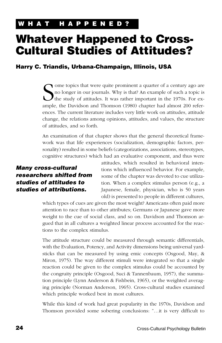# **Whatever Happened to Cross-Cultural Studies of Attitudes?**

### **Harry C. Triandis, Urbana-Champaign, Illinois, USA**

S<sub>ample</sub> ome topics that were quite prominent a quarter of a century ago are no longer in our journals. Why is that? An example of such a topic is the study of attitudes. It was rather important in the 1970s. For example, the Davidson and Thomson (1980) chapter had almost 200 references. The current literature includes very little work on attitudes, attitude change, the relations among opinions, attitudes, and values, the structure of attitudes, and so forth.

An examination of that chapter shows that the general theoretical framework was that life experiences (socialization, demographic factors, personality) resulted in some beliefs (categorizations, associations, stereotypes, cognitive structures) which had an evaluative component, and thus were

### **Many cross-cultural researchers shifted from studies of attitudes to studies of attributions.**

attitudes, which resulted in behavioral intentions which influenced behavior. For example, some of the chapter was devoted to cue utilization. When a complex stimulus person (e.g., a Japanese, female, physician, who is 50 years old) is presented to people in different cultures,

which types of cues are given the most weight? Americans often paid more attention to race than to other attributes; Germans or Japanese gave more weight to the cue of social class, and so on. Davidson and Thomson argued that in all cultures a weighted linear process accounted for the reactions to the complex stimulus.

The attitude structure could be measured through semantic differentials, with the Evaluation, Potency, and Activity dimensions being universal yardsticks that can be measured by using emic concepts (Osgood, May, & Miron, 1975). The way different stimuli were integrated so that a single reaction could be given to the complex stimulus could be accounted by the congruity principle (Osgood, Suci & Tannenbaum, 1957), the summation principle (Lynn Anderson & Fishbein, 1965), or the weighted averaging principle (Norman Anderson, 1965). Cross-cultural studies examined which principle worked best in most cultures.

While this kind of work had great popularity in the 1970s, Davidson and Thomson provided some sobering conclusions: "…it is very difficult to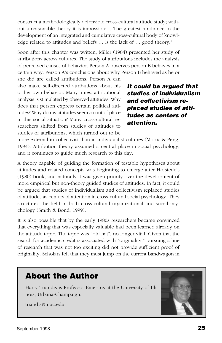construct a methodologically defensible cross-cultural attitude study; without a reasonable theory it is impossible… The greatest hindrance to the development of an integrated and cumulative cross-cultural body of knowledge related to attitudes and beliefs … is the lack of … good theory."

Soon after this chapter was written, Miller (1984) presented her study of attributions across cultures. The study of attributions includes the analysis of perceived causes of behavior. Person A observes person B behaves in a certain way. Person A's conclusions about why Person B behaved as he or

she did are called attributions. Person A can also make self-directed attributions about his or her own behavior. Many times, attributional analysis is stimulated by observed attitudes. Why does that person express certain political attitudes? Why do my attitudes seem so out of place in this social situation? Many cross-cultural researchers shifted from studies of attitudes to studies of attributions, which turned out to be

**It could be argued that studies of individualism and collectivism replaced studies of attitudes as centers of attention.**

more external in collectivist than in individualist cultures (Morris & Peng, 1994). Attribution theory assumed a central place in social psychology, and it continues to guide much research to this day.

A theory capable of guiding the formation of testable hypotheses about attitudes and related concepts was beginning to emerge after Hofstede's (1980) book, and naturally it was given priority over the development of more empirical but non-theory guided studies of attitudes. In fact, it could be argued that studies of individualism and collectivism replaced studies of attitudes as centers of attention in cross-cultural social psychology. They structured the field in both cross-cultural organizational and social psychology (Smith & Bond, 1999).

It is also possible that by the early 1980s researchers became convinced that everything that was especially valuable had been learned already on the attitude topic. The topic was "old hat", no longer vital. Given that the search for academic credit is associated with "originality," pursuing a line of research that was not too exciting did not provide sufficient proof of originality. Scholars felt that they must jump on the current bandwagon in

# **About the Author**

Harry Triandis is Professor Emeritus at the University of Illinois, Urbana-Champaign.

triandis@uiuc.edu

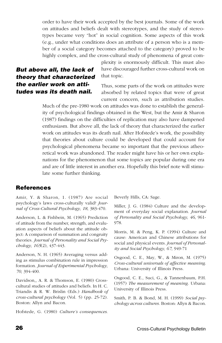order to have their work accepted by the best journals. Some of the work on attitudes and beliefs dealt with stereotypes, and the study of stereotypes became very "hot" in social cognition. Some aspects of this work (e.g., under what conditions does an attribute of a person who is a member of a social category becomes attached to the category) proved to be highly complex, and the cross-cultural study of phenomena of great com-

### **But above all, the lack of theory that characterized the earlier work on attitudes was its death nail.**

plexity is enormously difficult. This must also have discouraged further cross-cultural work on that topic.

Thus, some parts of the work on attitudes were absorbed by related topics that were of great current concern, such as attribution studies.

Much of the pre-1980 work on attitudes was done to establish the generality of psychological findings obtained in the West, but the Amir & Sharon (1987) findings on the difficulties of replication may also have dampened enthusiasm. But above all, the lack of theory that characterized the earlier work on attitudes was its death nail. After Hofstede's work, the possibility that theories about culture could be developed that could account for psychological phenomena became so important that the previous atheoretical work was abandoned. The reader might have his or her own explanations for the phenomenon that some topics are popular during one era and are of little interest in another era. Hopefully this brief note will stimulate some further thinking.

#### **References**

Amir, Y. & Sharon, 1. (1987) Are social psychology's laws cross-culturally valid? *Journal of Cross-Cultural Psychology, 18*, 383-470.

Anderson, L. & Fishbein, M. (1965) Prediction of attitude from the number, strength, and evaluation aspects of beliefs about the attitude object: A comparison of summation and congruity theories. *Journal of Personality and Social Psychology, 165*(2), 437-443.

Anderson, N. H. (1965) Averaging versus adding as stimulus combination rule in impression formation. *Journal of Experimental Psychology, 70*, 394-400.

Davidson,, A. R. & Thomson, E. (1980) Crosscultural studies of attitudes and beliefs. In H. C. Triandis & R. W. Brislin (Eds.) *Handbook of cross-cultural psychology* (Vol. 5) (pp. 25-72). Boston: Allyn and Bacon.

Hofstede, G. (1980) *Culture's consequences*.

Beverly Hills, CA: Sage.

Miller, J. G. (1984) Culture and the development of everyday social explanation. *Journal of Personality and Social Psychology, 46*, 961- 978.

Morris, M. & Peng, K. P. (1994) Culture and cause: American and Chinese attributions for social and physical events. *Journal of Personality and Social Psychology, 67*, 949-71

Osgood, C. E., May, W., & Miron, M. (1975) *Cross-cultural universals of affective meaning*. Urbana: University of Illinois Press.

Osgood, C. E., Suci, G., & Tannenbaum, P.H. (1957) *The measurement of meaning.* Urbana: University of Illinois Press.

Smith, P. B. & Bond, M. H. (1999) *Social psychology across cultures.* Boston: Allyn & Bacon.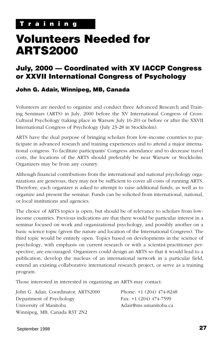# <span id="page-26-0"></span>**Volunteers Needed for ARTS2000**

# **July, 2000 — Coordinated with XV IACCP Congress or XXVII International Congress of Psychology**

#### **John G. Adair, Winnipeg, MB, Canada**

Volunteers are needed to organize and conduct three Advanced Research and Training Seminars (ARTS) in July, 2000 before the XV International Congress of Cross-Cultural Psychology (taking place in Warsaw July 16-20) or before or after the XXVII International Congress of Psychology (July 23-28 in Stockholm).

ARTS have the dual purpose of bringing scholars from low-income countries to participate in advanced research and training experiences and to attend a major international congress. To facilitate participants' Congress attendance and to decrease travel costs, the locations of the ARTS should preferably be near Warsaw or Stockholm. Organizers may be from any country.

Although financial contributions from the international and national psychology organizations are generous, they may not be sufficient to cover all costs of running ARTS. Therefore, each organizer is asked to attempt to raise additional funds, as well as to organize and present the seminar. Funds can be solicited from international, national, or local institutions and agencies.

The choice of ARTS topics is open, but should be of relevance to scholars from lowincome countries. Previous indications are that there would be particular interest in a seminar focused on work and organizational psychology, and possibly another on a basic science topic (given the nature and location of the International Congress). The third topic would be entirely open. Topics based on developments in the science of psychology, with emphasis on current research or with a scientist-practitioner perspective, are encouraged. Organizers could design an ARTS so that it would lead to a publication, develop the nucleus of an international network in a particular field, extend an existing collaborative international research project, or serve as a training program.

Those interested in interested in organizing an ARTS may contact:

| John G. Adair, Coordinator, ARTS2000 | Phone: $+1$ (204) 474-8248 |
|--------------------------------------|----------------------------|
| Department of Psychology             | Fax: $+1$ (204) 474-7599   |
| University of Manitoba               | Adair@ms.umanitoba.ca      |
| Winnipeg, MB, Canada R3T 2N2         |                            |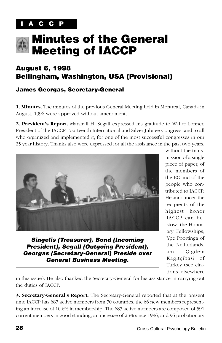<span id="page-27-0"></span>

# **Minutes of the General Meeting of IACCP**

# **August 6, 1998 Bellingham, Washington, USA (Provisional)**

### **James Georgas, Secretary-General**

**1. Minutes.** The minutes of the previous General Meeting held in Montreal, Canada in August, 1996 were approved without amendments.

**2. President's Report.** Marshall H. Segall expressed his gratitude to Walter Lonner, President of the IACCP Fourteenth International and Silver Jubilee Congress, and to all who organized and implemented it, for one of the most successful congresses in our 25 year history. Thanks also were expressed for all the assistance in the past two years,



**Singelis (Treasurer), Bond (Incoming President), Segall (Outgoing President), Georgas (Secretary-General) Preside over General Business Meeting.**

without the transmission of a single piece of paper, of the members of the EC and of the people who contributed to IACCP. He announced the recipients of the highest honor IACCP can bestow, the Honorary Fellowships, Ype Poortinga of the Netherlands, and Çigdem Kagitçibasi of Turkey (see citations elsewhere

in this issue). He also thanked the Secretary-General for his assistance in carrying out the duties of IACCP.

**3. Secretary-General's Report.** The Secretary-General reported that at the present time IACCP has 687 active members from 70 countries, the 66 new members representing an increase of 10.6% in membership. The 687 active members are composed of 591 current members in good standing, an increase of 23% since 1996, and 96 probationary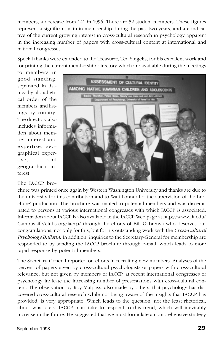members, a decrease from 141 in 1996. There are 52 student members. These figures represent a significant gain in membership during the past two years, and are indicative of the current growing interest in cross-cultural research in psychology apparent in the increasing number of papers with cross-cultural content at international and national congresses.

Special thanks were extended to the Treasurer, Ted Singelis, for his excellent work and for printing the current membership directory which are available during the meetings

to members in good standing, separated in listings by alphabetical order of the members, and listings by country. The directory also includes information about member interest and expertise, geographical expertise, and geographical interest.

The IACCP bro-



chure was printed once again by Western Washington University and thanks are due to the university for this contribution and to Walt Lonner for the supervision of the brochure' production. The brochure was mailed to potential members and was disseminated to persons at various international congresses with which IACCP is associated. Information about IACCP is also available in the IACCP Web page at http://www.fit.edu/ CampusLife/clubs-org/iaccp/ through the efforts of Bill Gabrenya who deserves our congratulations, not only for this, but for his outstanding work with the *Cross-Cultural Psychology Bulletin*. In addition, inquiries to the Secretary-General for membership are responded to by sending the IACCP brochure through e-mail, which leads to more rapid response by potential members.

The Secretary-General reported on efforts in recruiting new members. Analyses of the percent of papers given by cross-cultural psychologists or papers with cross-cultural relevance, but not given by members of IACCP, at recent international congresses of psychology indicate the increasing number of presentations with cross-cultural content. The observation by Roy Malpass, also made by others, that psychology has discovered cross-cultural research while not being aware of the insights that IACCP has provided, is very appropriate. Which leads to the question, not the least rhetorical, about what steps IACCP must take to respond to this trend, which will inevitably increase in the future. He suggested that we must formulate a comprehensive strategy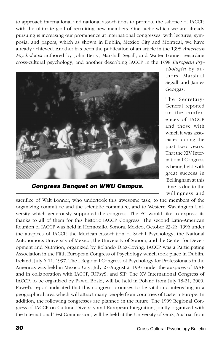to approach international and national associations to promote the salience of IACCP, with the ultimate goal of recruiting new members. One tactic which we are already pursuing is increasing our prominence at international congresses, with lectures, symposia, and papers, which as shown in Dublin, Mexico City and Montreal, we have already achieved. Another has been the publication of an article in the 1998 *American Psychologist* authored by John Berry, Marshall Segall, and Walter Lonner regarding cross-cultural psychology, and another describing IACCP in the 1998 *European Psy-*



*chologist* by authors Marshall Segall and James Georgas.

The Secretary-General reported on the conferences of IACCP and those with which it was associated during the past two years. That the XIV International Congress is being held with great success in Bellingham at this time is due to the willingness and

**Congress Banquet on WWU Campus.**

sacrifice of Walt Lonner, who undertook this awesome task, to the members of the organizing committee and the scientific committee, and to Western Washington University which generously supported the congress. The EC would like to express its thanks to all of them for this historic IACCP Congress. The second Latin-American Reunion of IACCP was held in Hermosillo, Sonora, Mexico, October 23-26, 1996 under the auspices of IACCP, the Mexican Association of Social Psychology, the National Autonomous University of Mexico, the University of Sonora, and the Center for Development and Nutrition, organized by Rolando Diaz-Loving. IACCP was a Participating Association in the Fifth European Congress of Psychology which took place in Dublin, Ireland, July 6-11, 1997. The I Regional Congress of Psychology for Professionals in the Americas was held in Mexico City, July 27-August 2, 1997 under the auspices of IAAP and in collaboration with IACCP, IUPsyS, and SIP. The XV International Congress of IACCP, to be organized by Pawel Boski, will be held in Poland from July 18-21, 2000. Pawel's report indicated that this congress promises to be vital and interesting in a geographical area which will attract many people from countries of Eastern Europe. In addition, the following congresses are planned in the future. The 1999 Regional Congress of IACCP on Cultural Diversity and European Integration, jointly organized with the International Test Commission, will be held at the University of Graz, Austria, from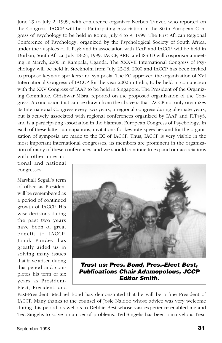June 29 to July 2, 1999, with conference organizer Norbert Tanzer, who reported on the Congress. IACCP will be a Participating Association in the Sixth European Congress of Psychology to be held in Rome, July 4 to 9, 1999. The First African Regional Conference of Psychology, organized by the Psychological Society of South Africa, under the auspices of IUPsyS and in association with IAAP and IACCP, will be held in Durban, South Africa, July 18-23, 1999. IACCP, ARIC and ISSBD will cosponsor a meeting in March, 2000 in Kampala, Uganda. The XXXVII International Congress of Psychology will be held in Stockholm from July 23-28, 2000 and IACCP has been invited to propose keynote speakers and symposia. The EC approved the organization of XVI International Congress of IACCP for the year 2002 in India, to be held in conjunction with the XXV Congress of IAAP to be held in Singapore. The President of the Organizing Committee, Girishwar Misra, reported on the proposed organization of the Congress. A conclusion that can be drawn from the above is that IACCP not only organizes its International Congress every two years, a regional congress during alternate years, but is actively associated with regional conferences organized by IAAP and IUPsyS, and is a participating association in the biannual European Congress of Psychology. In each of these latter participations, invitations for keynote speeches and for the organization of symposia are made to the EC of IACCP. Thus, IACCP is very visible in the most important international congresses, its members are prominent in the organization of many of these conferences, and we should continue to expand our associations

with other international and national congresses.

Marshall Segall's term of office as President will be remembered as a period of continued growth of IACCP. His wise decisions during the past two years have been of great benefit to IACCP. Janak Pandey has greatly aided us in solving many issues that have arisen during this period and completes his term of six years as President-Elect, President, and



**Trust us: Pres. Bond, Pres.-Elect Best, Publications Chair Adamopolous, JCCP Editor Smith.**

Past-President. Michael Bond has demonstrated that he will be a fine President of IACCP. Many thanks to the counsel of Josie Naidoo whose advice was very welcome during this period, as well as to Debbie Best whose vast experience enabled me and Ted Singelis to solve a number of problems. Ted Singelis has been a marvelous Trea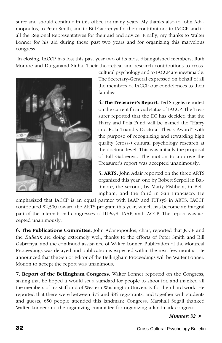surer and should continue in this office for many years. My thanks also to John Adamopoulos, to Peter Smith, and to Bill Gabrenya for their contributions to IACCP, and to all the Regional Representatives for their aid and advice. Finally, my thanks to Walter Lonner for his aid during these past two years and for organizing this marvelous congress.

 In closing, IACCP has lost this past year two of its most distinguished members, Ruth Monroe and Durganand Sinha. Their theoretical and research contributions to cross-



cultural psychology and to IACCP are inestimable. The Secretary-General expressed on behalf of all the members of IACCP our condolences to their families.

**4. The Treasurer's Report.** Ted Singelis reported on the current financial status of IACCP. The Treasurer reported that the EC has decided that the Harry and Pola Fund will be named the "Harry and Pola Triandis Doctoral Thesis Award" with the purpose of recognizing and rewarding high quality (cross-) cultural psychology research at the doctoral level. This was initially the proposal of Bill Gabrenya. The motion to approve the Treasurer's report was accepted unanimously.

**5. ARTS.** John Adair reported on the three ARTS organized this year, one by Robert Serpell in Baltimore, the second, by Marty Fishbein, in Bellingham, and the third in San Francisco. He

emphasized that IACCP is an equal partner with IAAP and IUPsyS in ARTS. IACCP contributed \$2,500 toward the ARTS program this year, which has become an integral part of the international congresses of IUPsyS, IAAP, and IACCP. The report was accepted unanimously.

**6. The Publications Committee.** John Adamopoulos, chair, reported that JCCP and the *Bulletin* are doing extremely well, thanks to the efforts of Peter Smith and Bill Gabrenya, and the continued assistance of Walter Lonner. Publication of the Montreal Proceedings was delayed and publication is expected within the next few months. He announced that the Senior Editor of the Bellingham Proceedings will be Walter Lonner. Motion to accept the report was unanimous.

**7. Report of the Bellingham Congress.** Walter Lonner reported on the Congress, stating that he hoped it would set a standard for people to shoot for, and thanked all the members of his staff and of Western Washington University for their hard work. He reported that there were between 475 and 485 registrants, and together with students and guests, 650 people attended this landmark Congress. Marshall Segall thanked Walter Lonner and the organizing committee for organizing a landmark congress.

*Minutes: 32* ➤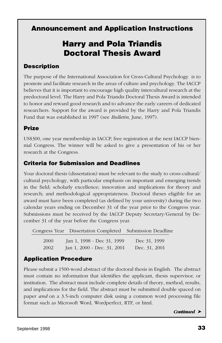# <span id="page-32-0"></span>**Announcement and Application Instructions**

# **Harry and Pola Triandis Doctoral Thesis Award**

## **Description**

The purpose of the International Association for Cross-Cultural Psychology is to promote and facilitate research in the areas of culture and psychology. The IACCP believes that it is important to encourage high quality intercultural research at the predoctoral level. The Harry and Pola Triandis Doctoral Thesis Award is intended to honor and reward good research and to advance the early careers of dedicated researchers. Support for the award is provided by the Harry and Pola Triandis Fund that was established in 1997 (see *Bulletin*, June, 1997).

## **Prize**

US\$300, one year membership in IACCP, free registration at the next IACCP biennial Congress. The winner will be asked to give a presentation of his or her research at the Congress.

## **Criteria for Submission and Deadlines**

Your doctoral thesis (dissertation) must be relevant to the study to cross-cultural/ cultural psychology, with particular emphasis on important and emerging trends in the field; scholarly excellence; innovation and implications for theory and research; and methodological appropriateness. Doctoral theses eligible for an award must have been completed (as defined by your university) during the two calendar years ending on December 31 of the year prior to the Congress year. Submissions must be received by the IACCP Deputy Secretary/General by December 31 of the year before the Congress year.

|      | Congress Year Dissertation Completed Submission Deadline |               |  |
|------|----------------------------------------------------------|---------------|--|
| 2000 | Jan 1, 1998 - Dec 31, 1999                               | Dec 31, 1999  |  |
| 2002 | Jan 1, 2000 - Dec. 31, 2001                              | Dec. 31, 2001 |  |

## **Application Procedure**

Please submit a 1500-word abstract of the doctoral thesis in English. The abstract must contain no information that identifies the applicant, thesis supervisor, or institution. The abstract must include complete details of theory, method, results, and implications for the field. The abstract must be submitted double spaced on paper *and* on a 3.5-inch computer disk using a common word processing file format such as Microsoft Word, Wordperfect, RTF, or html.

*Continued* ➤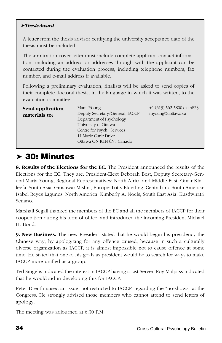#### ➤ *Thesis Award*

A letter from the thesis advisor certifying the university acceptance date of the thesis must be included.

The application cover letter must include complete applicant contact information, including an address or addresses through with the applicant can be contacted during the evaluation process, including telephone numbers, fax number, and e-mail address if available.

Following a preliminary evaluation, finalists will be asked to send copies of their complete doctoral thesis, in the language in which it was written, to the evaluation committee.

| Send application | Marta Young                     | $+1(613)$ 562-5800 ext 4823 |
|------------------|---------------------------------|-----------------------------|
| materials to:    | Deputy Secretary/General, IACCP | myoung@uottawa.ca           |
|                  | Department of Psychology        |                             |
|                  | University of Ottawa            |                             |
|                  | Centre for Psych. Services      |                             |
|                  | 11 Marie Curie Drive            |                             |
|                  | Ottawa ON K1N 6N5 Canada        |                             |

# ➤ **30: Minutes**

**8. Results of the Elections for the EC.** The President announced the results of the Elections for the EC. They are: President-Elect Deborah Best, Deputy Secretary-General Marta Young, Regional Representatives: North Africa and Middle East: Omar Khaleefa, South Asia: Girishwar Mishra, Europe: Lotty Elderling, Central and South America: Isabel Reyes Lagunes, North America: Kimberly A. Noels, South East Asia: Kusdwiratri Setiano.

Marshall Segall thanked the members of the EC and all the members of IACCP for their cooperation during his term of office, and introduced the incoming President Michael H. Bond.

**9. New Business.** The new President stated that he would begin his presidency the Chinese way, by apologizing for any offence caused, because in such a culturally diverse organization as IACCP, it is almost impossible not to cause offence at some time. He stated that one of his goals as president would be to search for ways to make IACCP more unified as a group.

Ted Singelis indicated the interest in IACCP having a List Server. Roy Malpass indicated that he would aid in developing this for IACCP.

Peter Drenth raised an issue, not restricted to IACCP, regarding the "no-shows" at the Congress. He strongly advised those members who cannot attend to send letters of apology.

The meeting was adjourned at 6:30 P.M.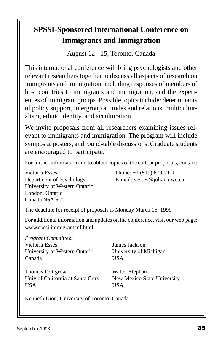# **SPSSI-Sponsored International Conference on Immigrants and Immigration**

August 12 - 15, Toronto, Canada

This international conference will bring psychologists and other relevant researchers together to discuss all aspects of research on immigrants and immigration, including responses of members of host countries to immigrants and immigration, and the experiences of immigrant groups. Possible topics include: determinants of policy support, intergroup attitudes and relations, multiculturalism, ethnic identity, and acculturation.

We invite proposals from all researchers examining issues relevant to immigrants and immigration. The program will include symposia, posters, and round-table discussions. Graduate students are encouraged to participate.

For further information and to obtain copies of the call for proposals, contact:

Victoria Esses Phone: +1 (519) 679-2111 Department of Psychology E-mail: vesses@julian.uwo.ca University of Western Ontario London, Ontario Canada N6A 5C2

The deadline for receipt of proposals is Monday March 15, 1999

For additional information and updates on the conference, visit our web page: www.spssi.immigrantcnf.html

| Program Committee:               |                             |
|----------------------------------|-----------------------------|
| Victoria Esses                   | James Jackson               |
| University of Western Ontario    | University of Michigan      |
| Canada                           | <b>USA</b>                  |
| <b>Thomas Pettigrew</b>          | Walter Stephan              |
| Univ of California at Santa Cruz | New Mexico State University |
| <b>USA</b>                       | <b>USA</b>                  |

Kenneth Dion, University of Toronto, Canada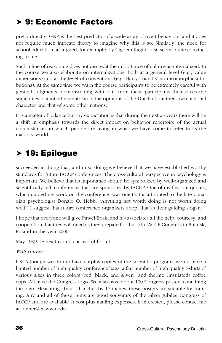# ➤ **9: Economic Factors**

pretty directly. GNP is the best predictor of a wide array of overt behaviors, and it does not require much intricate theory to imagine why this is so. Similarly, the need for school education, as argued, for example, by Çigdem Kagitçibasi, seems quite convincing to me.

Such a line of reasoning does not discredit the importance of culture-as-internalized. In the course we also elaborate on internalizations, both at a general level (e.g., value dimensions) and at the level of conventions (e.g. Harry Triandis' non-isomorphic attributions). At the same time we warn the course participants to be extremely careful with general judgments, demonstrating with data from these participants themselves the sometimes blatant ethnocentrism in the opinions of the Dutch about their own national character and that of some other nations.

It is a matter of balance but my expectation is that during the next 25 years there will be a shift in emphasis towards the direct impact on behavior repertoire of the actual circumstances in which people are living in what we have come to refer to as the majority world.

# ➤ **19: Epilogue**

succeeded in doing that, and in so doing we believe that we have established worthy standards for future IACCP conferences. The cross-cultural perspective in psychology is important. We believe that its importance should be symbolized by well-organized and scientifically rich conferences that are sponsored by IACCP. One of my favorite quotes, which guided my work on the conference, was one that is attributed to the late Canadian psychologist Donald O. Hebb: "Anything not worth doing is not worth doing well." I suggest that future conference organizers adopt that as their guiding slogan.

I hope that everyone will give Pawel Boski and his associates all the help, courtesy, and cooperation that they will need as they prepare for the 15th IACCP Congress in Pultusk, Poland in the year 2000.

May 1999 be healthy and successful for all.

#### *Walt Lonner*

P.S. Although we do not have surplus copies of the scientific program, we do have a limited number of high quality conference bags, a fair number of high quality t-shirts of various sizes in three colors (red, black, and silver), and thermo (insulated) coffee cups. All have the Congress logo. We also have about 100 Congress posters containing the logo. Measuring about 11 inches by 17 inches, these posters are suitable for framing. Any and all of these items are good souvenirs of the Silver Jubilee Congress of IACCP and are available at cost plus mailing expenses. If interested, please contact me at lonner@cc.wwu.edu.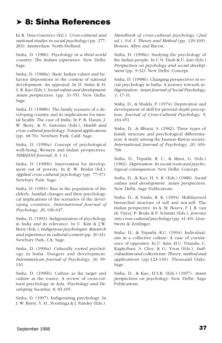# ➤ **8: Sinha References**

In R. Diaz-Guerrero (Ed.). *Cross-cultural and national studies in social psychology* (pp. 277- 283). Amsterdam: North-Holland.

Sinha, D. (1986). *Psychology in a third world country: The Indian experience.* New Delhi: Sage.

Sinha, D. (1988a). Basic Indian values and behavior dispositions in the context of national development: An appraisal. In D. Sinha & H. S. R. Kao (Eds.), *Social values and development: Asian perspectives*. (pp. 31-55). New Delhi: Sage.

Sinha, D. (1988b). The family scenario of a developing country and its implications for mental health: The case of India. In P. R. Dasan, J. W. Berry, & N. Sartorius (Eds.), *Health and cross-cultural psychology: Toward applications* (pp. 48-70). Newbury Park, Calif: Sage.

Sinha, D. (1990a). Concept of psychological well-being: Western and Indian perspectives. *NIMHANS Journal, 8*, 1-11.

Sinha, D. (1990b). Intervention for development out of poverty. In R. W. Brislin (Ed.), *Applied cross-cultural psychology* (pp. 77-97). Newbury Park: Sage.

Sinha, D. (1991). Rise in the population of the elderly, familial changes and their psychological implications of the scenarios of the developing countries. *International Journal of Psychology, 26*, 636-647.

Sinha, D. (1993). Indigenization of psychology in India and its relevance. In U. Kim & J.W. Berry (Eds.), *Indigenous psychologies: Research and experience in cultural context* (pp. 30-43). Newbury Park, CA: Sage.

Sinha, D. (1996a). Culturally rooted psychology in India: Dangers and development. *Interamerican Journal of Psychology, 30*, 99- 110.

Sinha, D. (1996b). Culture as the target and culture as the source: A review of cross-cultural psychology in Asia. *Psychology and Developing Societies, 8*, 83-105.

Sinha, D. (1997). Indigenizing psychology. In J. W. Berry, Y. H., Poortinga & J. Pandey (Eds.).

*Handbook of cross-cultural psychology (2nd ed.), Vol. I. Theory and Method* (pp. 129-169). Boston: Allyn and Bacon.

Sinha, D. (1998a). Studying the psychology of the Indian people. In U.N. Dash & U. Jain (Eds.) *Perspectives on psychology and social development* (pp. 9-32). New Delhi: Concept.

Sinha, D. (1998b). Changing perspectives in social psychology in India: A journey towards indigenization. *Asian Journal of Social Psychology, 1*, 17-31.

Sinha, D., & Shukla, P. (1974). Deprivation and development of skill for pictorial depth perception. *Journal of Cross-Cultural Psychology, 5*, 434-451.

Sinha, D., & Bharat, S. (1982). Three types of family structure and psychological differentiation: A study among the Jaunsar-Bawar society. *International Journal of Psychology, 20*, 693- 708.

Sinha, D., Tripathi, R. C., & Misra, G. (Eds.) (1982). *Deprivation: Its social roots and psychological consequences*. New Delhi: Concept.

Sinha, D., & Kao, H. S. R. (Eds.) (1988). *Social values and development: Asian perspectives*. New Delhi: Sage Publications.

Sinha, D., & Naidu, R. K. (1994). Multilayered hierarchial structure of self and not-self: The Indian perspective. In A. M. Bouvy, F. J. R. van de Vijver, P. Boski & P. Schmitz (Eds.), *Journey into cross-cultural psychology* (pp. 41-49). Lisse: Swets & Zeitlinger.

Sinha, D., & Tripathi, R.C. (1994). Individualism in a collective culture: A case of coexistence of opposites. In U. Kim, H.C. Triandis, C. Kagitcibasi, S. Choi, & G. Yoon (Eds.), *Individualism and collectivism: Theory, method and applications* (pp.123-136). Thousand Oaks: Sage.

Sinha, D., & Kao, H.S.R. (Eds.) (1997). *Asian perspectives on psychology*. New Delhi: Sage Publications.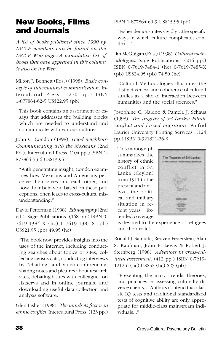# <span id="page-37-0"></span>**New Books, Films and Journals**

*A list of books published since 1990 by IACCP members can be found on the IACCP Web page. A cumulative list of books that have appeared in this column is also on the Web.*

Milton J. Bennett (Eds.) (1998). *Basic concepts of intercultural communication.* Intercultural Press (270 pp.) ISBN 1-877864-62-5 US\$22.95 (pb)

This book contains an assortment of essays that addresses the building blocks which are needed to understand and communicate with various cultures.

John C. Condon (1998). *Good neighbors: Communicating with the Mexicans* (2nd Ed.). Intercultural Press (104 pp.) ISBN 1- 877864-53-6 US\$13.95

"With penetrating insight, Condon examines how Mexicans and Americans perceive themselves and each other, and how their behavior, based on these perceptions, often leads to cross-cultural misunderstanding."

David Fetterman (1998). *Ethnography* (2nd ed.). Sage Publications (168 pp.) ISBN 0- 7619-1384-X (hc) 0-7619-1385-8 (pb) US\$21.95 (pb) 49.95 (hc)

"The book now provides insights into the uses of the internet, including conducting searches about topics or sites, collecting census data, conducting interviews by "chatting" and video-conferencing, sharing notes and pictures about research sites, debating issues with colleagues on listservs and in online journals, and downloading useful data collection and analysis software.

Glen Fisher (1998). *The mindsets factor in ethnic conflict.* Intercultural Press (123 pp.)

ISBN 1-877864-60-9 US\$15.95 (pb)

"Fisher demonstrates vividly…the specific ways in which culture complicates conflict…"

Jim McGuigan (Eds.) (1998). *Cultural methodologies*. Sage Publications (216 pp.) ISBN 0-7619-7484-1 (hc) 0-7619-7485-X (pb) US\$24.95 (pb) 74.50 (hc)

"Cultural Methodologies illustrates the distinctiveness and coherence of cultural studies as a site of interaction between humanities and the social sciences."

Josephine C. Naidoo & Pamela J. Schaus (1998). *The tragedy of Sri Lanka: Ethnic conflict and forced migration.* Wilfrid Laurier University Printing Services (124 pp.) ISBN 0-921821-26-3

This monograph summarizes the history of ethnic conflict in Sri Lanka (Ceylon) from 1911 to the present and analyzes the political and military situation in recent years. Extended coverage



is devoted to the experience of refugees and their relief.

Ronald J. Samuda, Reuven Feuerstein, Alan S. Kaufman, John E. Lewis & Robert J. Sternberg (1998). *Advances in cross-cultural assessment.* (412 pp.) ISBN 0-7619- 1212-6 (hc) US\$52 (hc) \$25 (pb)

"Presenting the major trends, theories, and practices in assessing culturally diverse clients… Authors contend that classic IQ tests and traditional standardized tests of cognitive ability are only appropriate for middle-class mainstream individuals..."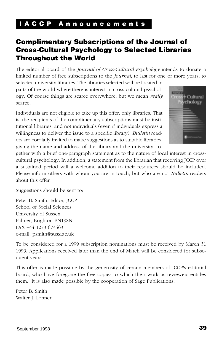### <span id="page-38-0"></span>**I A C C P A n n o u n c e m e n t s**

# **Complimentary Subscriptions of the Journal of Cross-Cultural Psychology to Selected Libraries Throughout the World**

The editorial board of the *Journal of Cross-Cultural Psychology* intends to donate a limited number of free subscriptions to the *Journal*, to last for one or more years, to

selected university libraries. The libraries selected will be located in parts of the world where there is interest in cross-cultural psychology. Of course things are scarce everywhere, but we mean *really* scarce.

Individuals are not eligible to take up this offer, only libraries. That is, the recipients of the complimentary subscriptions must be institutional libraries, and not individuals (even if individuals express a willingness to deliver the issue to a specific library). *Bulletin* readers are cordially invited to make suggestions as to suitable libraries, giving the name and address of the library and the university, to-



gether with a brief one-paragraph statement as to the nature of local interest in crosscultural psychology. In addition, a statement from the librarian that receiving JCCP over a sustained period will a welcome addition to their resources should be included. Please inform others with whom you are in touch, but who are not *Bulletin* readers about this offer.

Suggestions should be sent to:

Peter B. Smith, Editor, JCCP School of Social Sciences University of Sussex Falmer, Brighton BN19SN FAX +44 1273 673563 e-mail: psmith@susx.ac.uk

To be considered for a 1999 subscription nominations must be received by March 31 1999. Applications received later than the end of March will be considered for subsequent years.

This offer is made possible by the generosity of certain members of JCCP's editorial board, who have foregone the free copies to which their work as reviewers entitles them. It is also made possible by the cooperation of Sage Publications.

Peter B. Smith Walter J. Lonner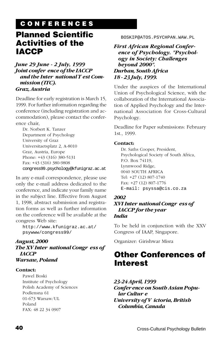# **C O N F E R E N C E S**

# <span id="page-39-0"></span>**Planned Scientific Activities of the IACCP**

#### *June 29 June - 2 July, 1999 Joint confer ence of the IACCP and the Inter national T est Commission (ITC). Graz, Austria*

Deadline for early registration is March 15, 1999. For further information regarding the conference (including registration and accommodation), please contact the conference chair,

Dr. Norbert K. Tanzer Department of Psychology University of Graz Universitaetsplatz 2, A-8010 Graz, Austria, Europe Phone: +43 (316) 380-5131 Fax: +43 (316) 380-9808 congress99.psychology@kfunigraz.ac.at

In any e-mail correspondence, please use only the e-mail address dedicated to the conference, and indicate your family name in the subject line. Effective from August 1, 1998, abstract submission and registration forms as well as further information on the conference will be available at the congress Web site:

http://www.kfunigraz.ac.at/ psywww/congress99/

#### *August, 2000 The XV Inter national Congr ess of IACCP Warsaw, Poland*

#### **Contact:**

Pawel Boski Institute of Psychology Polish Academy of Sciences Podlensna 61 01-673 Warsaw/UL Poland FAX: 48 22 34 0907

BOSKIP@ATOS.PSYCHPAN.WAW.PL

*First African Regional Conference of Psychology. "Psychology in Society: Challenges beyond 2000". Durban, South Africa 18 - 23 July, 1999.*

Under the auspices of the International Union of Psychological Science, with the collaboration of the International Association of Applied Psychology and the International Association for Cross-Cultural Psychology.

Deadline for Paper submissions: February 1st., 1999.

#### **Contact:**

Dr. Saths Cooper, President, Psychological Society of South Africa, P.O. Box 74119, Lynnwood Ridge, 0040 SOUTH AFRICA Tel: +27 (12) 807-1740 Fax: +27 (12) 807-1776 E-mail: psyssa@cis.co.za

#### *2002*

#### *XVI Inter national Congr ess of IACCP for the year India*

To be held in conjunction with the XXV Congress of IAAP, Singapore.

Organizer: Girishwar Misra

# **Other Conferences of Interest**

*23-24 April, 1999 Confer ence on South Asian Popular Cultur e University of V ictoria, British Columbia, Canada*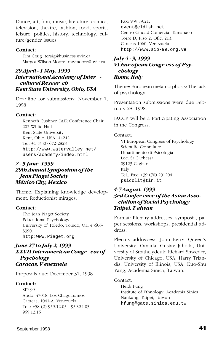Dance, art, film, music, literature, comics, television, theatre, fashion, food, sports, leisure, politics, history, technology, culture/gender issues.

#### **Contact:**

Tim Craig tcraig@business.uvic.ca Margot Wilson-Moore mwmoore@uvic.ca

#### *29 April - 1 May, 1999 Inter national Acadamy of Inter cultural Resear ch Kent State University, Ohio, USA*

Deadline for submissions: November 1, 1998

#### **Contact:**

Kenneth Cushner, IAIR Conference Chair 202 White Hall Kent State University Kent, Ohio, USA 44242 Tel. +1 (330) 672-2828 http://www.watervalley.net/ users/academy/index.html

#### *2 - 5 June, 1999 29th Annual Symposium of␣ the Jean Piaget Society México City, Mexico*

Theme: Explaining knowledge development: Reductionist mirages.

#### **Contact:**

The Jean Piaget Society Educational Psychology University of Toledo, Toledo, OH 43606- 3390. http:WWW.Piaget.org

#### *June 27 to July 2, 1999 XXVII Interamerican Congr ess of Psychology Caracas, V enezuela*

Proposals due: December 31, 1998

#### **Contact:**

SIP-99 Apdo. 47018. Los Chaguaramos Caracas, 1041-A. Venezuela Tel.: +58 (2) 959.12.05 - 959.24.05 - 959.12.15

Fax: 959.79.21. event@eldish.net Centro Ciudad Comercial Tamanaco Torre D, Piso 2, Ofic. 213. Caracas 1060, Venezuela http://www.sip-99.org.ve

#### *July 4 - 9, 1999 VI Eur opean Congr ess of Psychology Rome, Italy*

Theme: European metamorphosis: The task of psychology.

Presentation submissions were due February 28, 1998.

IACCP will be a Participating Association in the Congress.

#### Contact:

VI European Congress of Psychology Scientific Committee Dipartimento di Psicologia Loc. Sa Dichessa 09123 Cagliari Italy Tel., Fax: +39 (70) 291204 psicolit@tin.it

#### *4-7 August, 1999 3rd Confer ence of the Asian Association of Social Psychology Taipei, T aiwan*

Format: Plenary addresses, symposia, paper sessions, workshops, presidential address.

Plenary addresses: John Berry, Queen's University, Canada; Gustav Jahoda, University of Strathclydeuk; Richard Shweder, University of Chicago, USA; Harry Triandis, University of Illinois, USA; Kuo-Shu Yang, Academia Sinica, Taiwan.

#### Contact:

Heidi Fung Institute of Ethnology, Academia Sinica Nankang, Taipei, Taiwan hfung@gate.sinica.edu.tw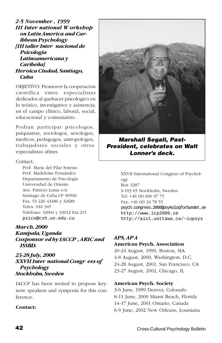*2-5 November , 1999 III Inter national W orkshop on Latin America and Caribbean Psychology [III taller Inter nacional de Psicología Latinoamericana y Caribeña] Heroica Ciudad, Santiago, Cuba*

OBJETIVO: Promover la cooperacion cientifica entre especialistas dedicados al quehacer psicologico en lo teórico, investigativo y asistencia; en el campo clínico, laboral, social, educacional y comuniatrio.

Podran participar psicologos, psiquiatras, sociologos, sexologos, medicos, pedagogos, antropologos, trabajadores sociales y otros especialistas afines.

#### Contact:

Prof. Maria del Pilar Soteras Prof. Madeleine Fernández Departamento de Psicología Universidad de Oriente Ave. Patricio Luma s/n Santiago de Cuba.CP 90500 Fax: 53 226 43186 y 32689 Telex: 016 345 Telefono: 32004 y 33012 Ext.215 psico@csh.uo.edu.cu

#### *March, 2000*

*Kampala, Uganda Cosponsor ed by IACCP , ARIC and ISSBD.*

#### *23-28 July, 2000 XXVII Inter national Congr ess of Psychology Stockholm, Sweden*

IACCP has been invited to propose keynote speakers and symposia for this conference.

#### **Contact:**



**Marshall Segall, Past-President, celebrates on Walt Lonner's deck.**

XXVII International Congress of Psychology Box 3287 S-103 65 Stockholm, Sweden Tel: +46 (8) 696 97 75 Fax: +46 (8) 24 78 55 psych.congress.2000@psykoloqforbundet.se http://www.icp2000.se http://aix1.uottawa.ca/~iupsys

#### *APS, APA*

#### **American Psych. Association**

20-24 August, 1999, Boston, MA 4-8 August, 2000, Washington, D.C. 24-28 August, 2001, San Francisco, CA 23-27 August, 2002, Chicago, IL

#### **American Psych. Society**

3-6 June, 1999 Denver, Colorado 8-11 June, 2000 Miami Beach, Florida 14-17 June, 2001 Ontario, Canada 6-9 June, 2002 New Orleans, Louisiana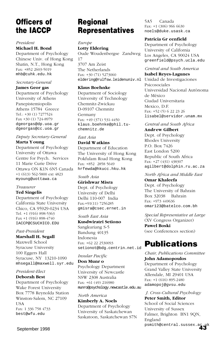# **Officers of the IACCP**

#### *President*

#### **Michael H. Bond**

Department of Psychology Chinese Univ. of Hong Kong Shatin, N.T., Hong Kong Fax: +852 2603-5019 mhb@cuhk.edu.hk

#### *Secretary-General*

#### **James Geor gas**

Department of Psychology University of Athens Panepistemiopolis Athens 15784 Greece Tel.: +30 (1) 7277524 Fax +30 (1) 724-8979 dgeorgas@dp.uoa.gr dgeorgas@cc.uoa.gr

#### *Deputy Secretary-General* **Marta Y oung**

Department of Psychology University of Ottawa Centre for Psych. Services 11 Marie Curie Drive Ottawa ON K1N 6N5 Canada +1 (613) 562-5800 ext 4823 myoung@uottawa.ca

#### *Treasurer*

#### **Ted Singelis**

Department of Psychology California State University Chico, CA 95929-0234 USA Tel. +1 (916) 898-5363 Fax +1 (916) 898-4740 IACCP@CSUCHICO.EDU

#### *Past-President*

#### **Marshall H. Segall**

Maxwell School Syracuse University 100 Eggers Hall Syracuse, NY 13210-1090 mhsegall@maxwell.syr.edu

#### *President-Elect* **Deborah Best**

Department of Psychology Wake Forest University Box 7778 Reynolda Station Winston-Salem, NC 27109 **IISA** Fax: 1 336 758 4733 best@wfu.edu

# **Regional Representatives**

#### *Europe* **Lotty Eldering** Oude Woudenbergse Zandweg 17 3707 Am Zeist The Netherlands Fax: +30 (71) 5273060 eldering@rulfsw.leidenuniv.nl

#### **Klaus Boehnke**

Department of Sociology University of Technology Chemnitz-Zwickau D-09107 Chemnitz Germany Fax: +49 (371) 531-4450 klaus.boehnke@phil.tuchemnitz.de

#### *East Asia*

#### **David Watkins**

Department of Education The University of Hong Kong Pokfulam Road Hong Kong Fax: +852 2858 5649 hrfewda@hkucc.hku.hk

#### *South Asia* **Girishwar Misra**

Dept. of Psychology University of Delhi Delhi 110-007 India Fax:+91(11) 7256285 gmisra@csec.ernet.in

#### *South East Asia* **Kusdwiratri Setiono**

Sangkuriang S-5 Bandung 40135 Indonesia Fax: +62 22 2530093 setionot@bdg.centrin.net.id

#### *Insular Pacific*

**Don Munr o** Psychology Department University of Newcastle NSW 2308 Australia Fax: +61 (49) 216980 munro@psychology.newcastle.edu.au

*North America* **Kimberly A. Noels** Department of Psychology University of Saskatchewan Saskatoon, Saskatchewan S7N 5A5 Canada Fax: +1 (306) 966 6630 noels@duke.usask.ca

#### **Patricia Gr eenfield**

Department of Psychology University of California Los Angeles, CA 90024 USA greenfield@psych.ucla.edu

#### *Central and South America*

**Isabel Reyes-Lagunes** Unidad de Investigaciones Psicosociales Universidad Nacional Autónoma de México Ciudad Universitaria Mexico, D.F. Fax: +52 (5) 6 22 23 26 lisabel@servidor.unam.mx

### *Central and South Africa*

**Andrew Gilbert** Dept. of Psychology Rhodes University P.O. Box 7426 East London 5200 Republic of South Africa Fax: +27 (431) 438307 agilbert@dolphin.ru.ac.za

#### *North Africa and Middle East*

**Omar Khaleefa** Dept. of Psychology The University of Bahrain Box 32038 Bahrain Fax: +973 449636 omar123@batelco.com.bh

*Special Representative at Large* (XV Congress Organizer) **Pawel Boski** (see Conferences section)

# **Publications**

*Chair, Publications Committee* **John Adamopoulos**

Department of Psychology Grand Valley State University Allendale, MI 29401 USA Fax: +1 (616) 895-2480 adamopoj@gvsu.edu

September 1998 **43** psmith@central.sussex.ac.uk*J. Cross-Cultural Psychology* **Peter Smith, Editor** School of Social Sciences University of Sussex Falmer, Brighton BN1 9QN, England